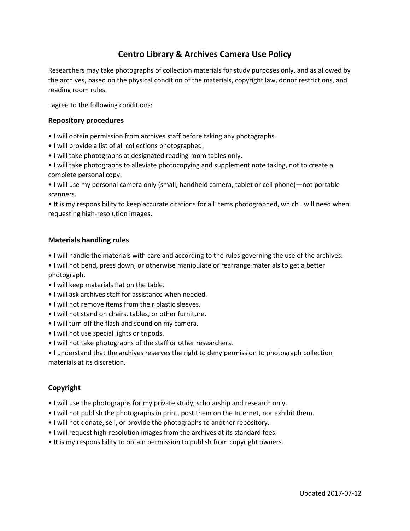# **Centro Library & Archives Camera Use Policy**

Researchers may take photographs of collection materials for study purposes only, and as allowed by the archives, based on the physical condition of the materials, copyright law, donor restrictions, and reading room rules.

I agree to the following conditions:

#### **Repository procedures**

- I will obtain permission from archives staff before taking any photographs.
- I will provide a list of all collections photographed.
- I will take photographs at designated reading room tables only.
- I will take photographs to alleviate photocopying and supplement note taking, not to create a complete personal copy.

• I will use my personal camera only (small, handheld camera, tablet or cell phone)—not portable scanners.

• It is my responsibility to keep accurate citations for all items photographed, which I will need when requesting high-resolution images.

#### **Materials handling rules**

- I will handle the materials with care and according to the rules governing the use of the archives.
- I will not bend, press down, or otherwise manipulate or rearrange materials to get a better photograph.
- I will keep materials flat on the table.
- I will ask archives staff for assistance when needed.
- I will not remove items from their plastic sleeves.
- I will not stand on chairs, tables, or other furniture.
- I will turn off the flash and sound on my camera.
- I will not use special lights or tripods.
- I will not take photographs of the staff or other researchers.
- I understand that the archives reserves the right to deny permission to photograph collection materials at its discretion.

## **Copyright**

- I will use the photographs for my private study, scholarship and research only.
- I will not publish the photographs in print, post them on the Internet, nor exhibit them.
- I will not donate, sell, or provide the photographs to another repository.
- I will request high-resolution images from the archives at its standard fees.
- It is my responsibility to obtain permission to publish from copyright owners.